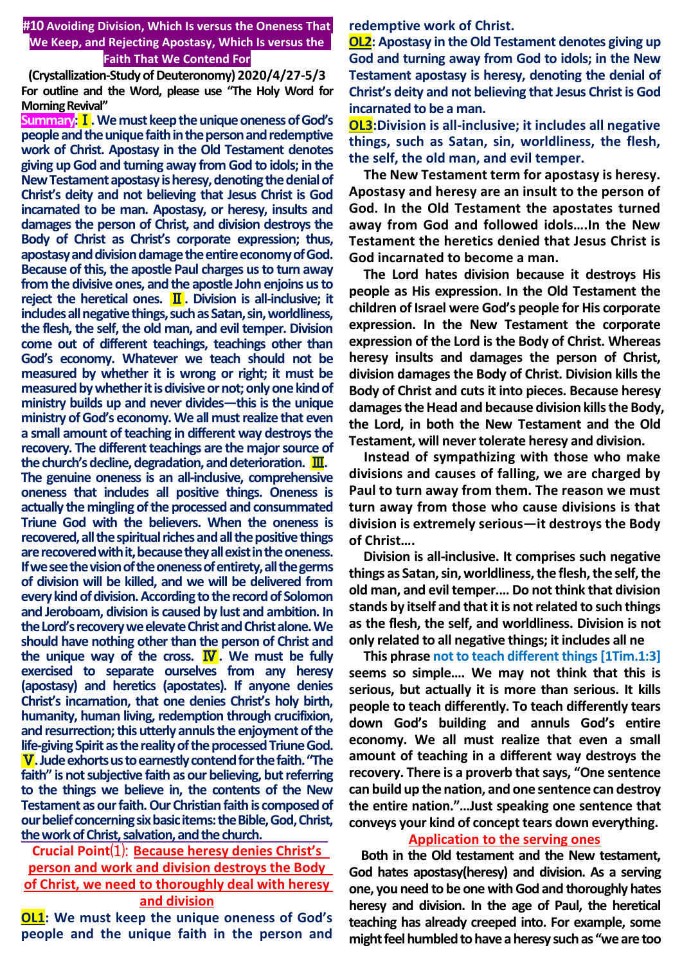**#10 Avoiding Division, Which Is versus the Oneness That We Keep, and Rejecting Apostasy, Which Is versus the Faith That We Contend For**

**(Crystallization-Study of Deuteronomy) 2020/4/27-5/3 For outline and the Word, please use "The Holy Word for Morning Revival"** 

**Summary:**Ⅰ**. We must keep the unique oneness of God's people and the unique faith in the person and redemptive work of Christ. Apostasy in the Old Testament denotes giving up God and turning away from God to idols; in the New Testament apostasy is heresy, denoting the denial of Christ's deity and not believing that Jesus Christ is God incarnated to be man. Apostasy, or heresy, insults and damages the person of Christ, and division destroys the Body of Christ as Christ's corporate expression; thus, apostasy and division damage the entire economy of God. Because of this, the apostle Paul charges us to turn away from the divisive ones, and the apostle John enjoins us to reject the heretical ones.** Ⅱ**. Division is all-inclusive; it includes all negative things, such as Satan, sin, worldliness, the flesh, the self, the old man, and evil temper. Division come out of different teachings, teachings other than God's economy. Whatever we teach should not be measured by whether it is wrong or right; it must be measured by whether it is divisive or not; only one kind of ministry builds up and never divides—this is the unique ministry of God's economy. We all must realize that even a small amount of teaching in different way destroys the recovery. The different teachings are the major source of the church's decline, degradation, and deterioration.** Ⅲ**. The genuine oneness is an all-inclusive, comprehensive oneness that includes all positive things. Oneness is actually the mingling of the processed and consummated Triune God with the believers. When the oneness is recovered, all the spiritual riches and all the positive things are recovered with it, because they all exist in the oneness. If we see the vision of the oneness of entirety, all the germs of division will be killed, and we will be delivered from every kind of division. According to the record of Solomon and Jeroboam, division is caused by lust and ambition. In the Lord's recovery we elevate Christ and Christ alone. We should have nothing other than the person of Christ and the unique way of the cross.** Ⅳ**. We must be fully exercised to separate ourselves from any heresy (apostasy) and heretics (apostates). If anyone denies Christ's incarnation, that one denies Christ's holy birth, humanity, human living, redemption through crucifixion, and resurrection; this utterly annuls the enjoyment of the life-giving Spirit as the reality of the processed Triune God.** Ⅴ**.Jude exhorts us to earnestly contend for the faith. "The faith" is not subjective faith as our believing, but referring to the things we believe in, the contents of the New Testament as our faith. Our Christian faith is composed of our belief concerning six basic items: the Bible, God, Christ,** 

# **Crucial Point**⑴: **Because heresy denies Christ's person and work and division destroys the Body of Christ, we need to thoroughly deal with heresy and division**

**the work of Christ, salvation, and the church.** 

**OL1: We must keep the unique oneness of God's people and the unique faith in the person and**  **redemptive work of Christ.**

**OL2: Apostasy in the Old Testament denotes giving up God and turning away from God to idols; in the New Testament apostasy is heresy, denoting the denial of Christ's deity and not believing that Jesus Christ is God incarnated to be a man.**

**OL3:Division is all-inclusive; it includes all negative things, such as Satan, sin, worldliness, the flesh, the self, the old man, and evil temper.**

**The New Testament term for apostasy is heresy. Apostasy and heresy are an insult to the person of God. In the Old Testament the apostates turned away from God and followed idols….In the New Testament the heretics denied that Jesus Christ is God incarnated to become a man.** 

**The Lord hates division because it destroys His people as His expression. In the Old Testament the children of Israel were God's people for His corporate expression. In the New Testament the corporate expression of the Lord is the Body of Christ. Whereas heresy insults and damages the person of Christ, division damages the Body of Christ. Division kills the Body of Christ and cuts it into pieces. Because heresy damages the Head and because division kills the Body, the Lord, in both the New Testament and the Old Testament, will never tolerate heresy and division.**

**Instead of sympathizing with those who make divisions and causes of falling, we are charged by Paul to turn away from them. The reason we must turn away from those who cause divisions is that division is extremely serious—it destroys the Body of Christ….** 

**Division is all-inclusive. It comprises such negative things as Satan, sin, worldliness, the flesh, the self, the old man, and evil temper.… Do not think that division stands by itself and that it is not related to such things as the flesh, the self, and worldliness. Division is not only related to all negative things; it includes all ne**

**This phrase not to teach different things [1Tim.1:3] seems so simple…. We may not think that this is serious, but actually it is more than serious. It kills people to teach differently. To teach differently tears down God's building and annuls God's entire economy. We all must realize that even a small amount of teaching in a different way destroys the recovery. There is a proverb that says, "One sentence can build up the nation, and one sentence can destroy the entire nation."…Just speaking one sentence that conveys your kind of concept tears down everything.**

### **Application to the serving ones**

**Both in the Old testament and the New testament, God hates apostasy(heresy) and division. As a serving one, you need to be one with God and thoroughly hates heresy and division. In the age of Paul, the heretical teaching has already creeped into. For example, some might feel humbled to have a heresy such as "we are too**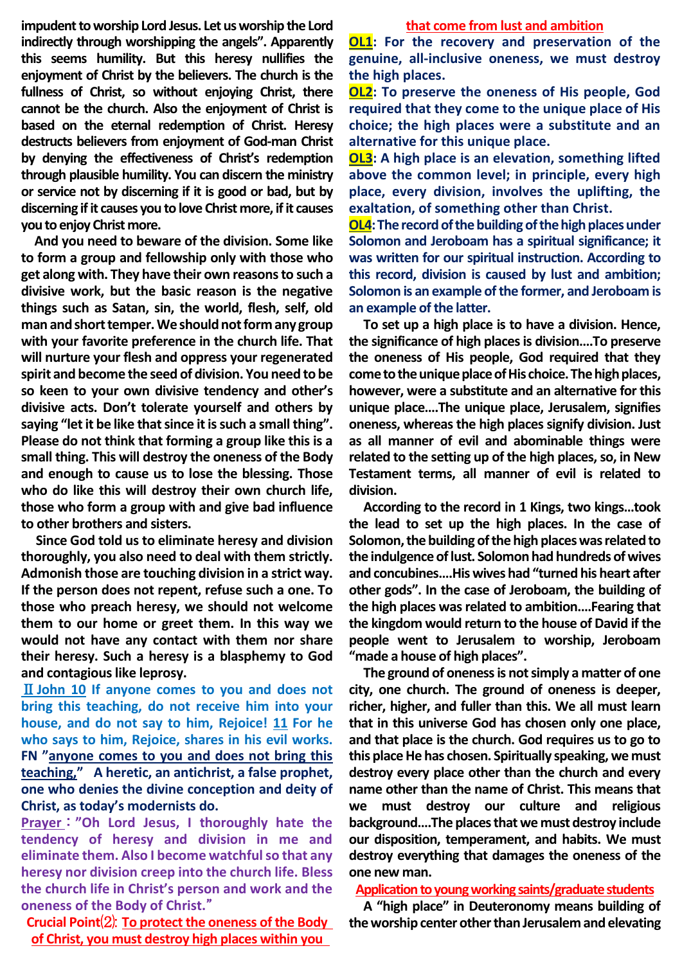**impudent to worship Lord Jesus. Let us worship the Lord indirectly through worshipping the angels". Apparently this seems humility. But this heresy nullifies the enjoyment of Christ by the believers. The church is the fullness of Christ, so without enjoying Christ, there cannot be the church. Also the enjoyment of Christ is based on the eternal redemption of Christ. Heresy destructs believers from enjoyment of God-man Christ by denying the effectiveness of Christ's redemption through plausible humility. You can discern the ministry or service not by discerning if it is good or bad, but by discerning if it causes you to love Christ more, if it causes you to enjoy Christ more.**

**And you need to beware of the division. Some like to form a group and fellowship only with those who get along with. They have their own reasons to such a divisive work, but the basic reason is the negative things such as Satan, sin, the world, flesh, self, old man and short temper. We should not form any group with your favorite preference in the church life. That will nurture your flesh and oppress your regenerated spirit and become the seed of division. You need to be so keen to your own divisive tendency and other's divisive acts. Don't tolerate yourself and others by saying "let it be like that since it is such a small thing". Please do not think that forming a group like this is a small thing. This will destroy the oneness of the Body and enough to cause us to lose the blessing. Those who do like this will destroy their own church life, those who form a group with and give bad influence to other brothers and sisters.**

**Since God told us to eliminate heresy and division thoroughly, you also need to deal with them strictly. Admonish those are touching division in a strict way. If the person does not repent, refuse such a one. To those who preach heresy, we should not welcome them to our home or greet them. In this way we would not have any contact with them nor share their heresy. Such a heresy is a blasphemy to God and contagious like leprosy.**

Ⅱ**John 10 If anyone comes to you and does not bring this teaching, do not receive him into your house, and do not say to him, Rejoice! 11 For he who says to him, Rejoice, shares in his evil works. FN "anyone comes to you and does not bring this teaching," A heretic, an antichrist, a false prophet, one who denies the divine conception and deity of Christ, as today's modernists do.**

**Prayer** : **"Oh Lord Jesus, I thoroughly hate the tendency of heresy and division in me and eliminate them. Also I become watchful so that any heresy nor division creep into the church life. Bless the church life in Christ's person and work and the oneness of the Body of Christ.**"

**Crucial Point**⑵: **To protect the oneness of the Body of Christ, you must destroy high places within you** 

#### **that come from lust and ambition**

**OL1: For the recovery and preservation of the genuine, all-inclusive oneness, we must destroy the high places.**

**OL2: To preserve the oneness of His people, God required that they come to the unique place of His choice; the high places were a substitute and an alternative for this unique place.**

**OL3: A high place is an elevation, something lifted above the common level; in principle, every high place, every division, involves the uplifting, the exaltation, of something other than Christ.**

**OL4:The record of the building of the high places under Solomon and Jeroboam has a spiritual significance; it was written for our spiritual instruction. According to this record, division is caused by lust and ambition; Solomon is an example of the former, and Jeroboam is an example of the latter.**

**To set up a high place is to have a division. Hence, the significance of high places is division….To preserve the oneness of His people, God required that they come to the unique place of His choice. The high places, however, were a substitute and an alternative for this unique place….The unique place, Jerusalem, signifies oneness, whereas the high places signify division. Just as all manner of evil and abominable things were related to the setting up of the high places, so, in New Testament terms, all manner of evil is related to division.**

**According to the record in 1 Kings, two kings…took the lead to set up the high places. In the case of Solomon, the building of the high places was related to the indulgence of lust. Solomon had hundreds of wives and concubines….His wives had "turned his heart after other gods". In the case of Jeroboam, the building of the high places was related to ambition.…Fearing that the kingdom would return to the house of David if the people went to Jerusalem to worship, Jeroboam "made a house of high places".** 

**The ground of oneness is not simply a matter of one city, one church. The ground of oneness is deeper, richer, higher, and fuller than this. We all must learn that in this universe God has chosen only one place, and that place is the church. God requires us to go to this place He has chosen. Spiritually speaking, we must destroy every place other than the church and every name other than the name of Christ. This means that we must destroy our culture and religious background….The places that we must destroy include our disposition, temperament, and habits. We must destroy everything that damages the oneness of the one new man.**

#### **Application to young working saints/graduate students**

**A "high place" in Deuteronomy means building of the worship center other than Jerusalem and elevating**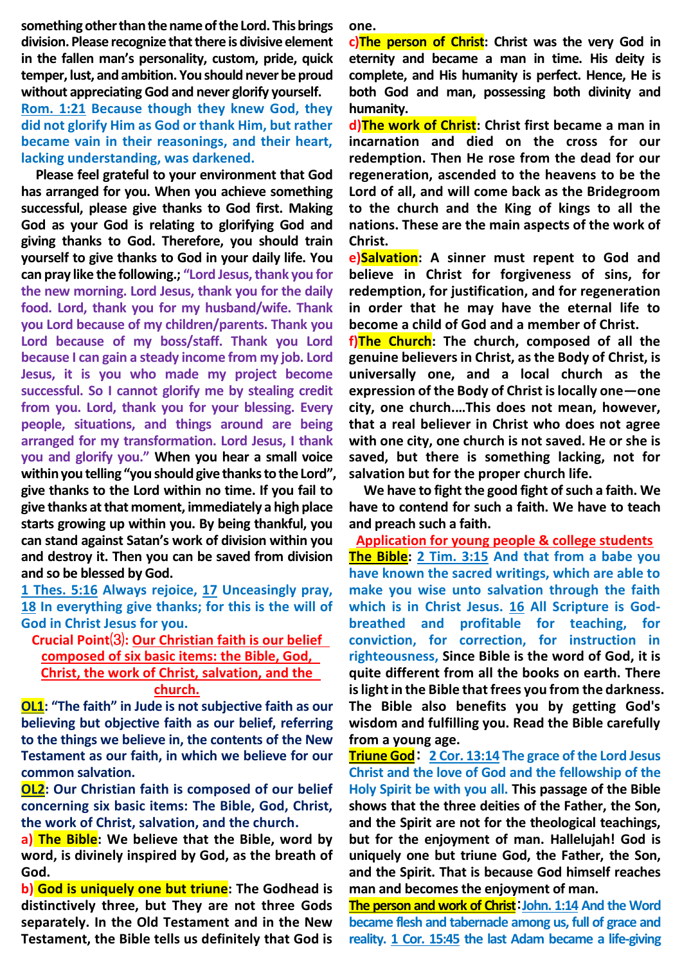**something other than the name of the Lord. This brings division. Please recognize that there is divisive element in the fallen man's personality, custom, pride, quick temper, lust, and ambition. You should never be proud without appreciating God and never glorify yourself.**

**Rom. 1:21 Because though they knew God, they did not glorify Him as God or thank Him, but rather became vain in their reasonings, and their heart, lacking understanding, was darkened.**

**Please feel grateful to your environment that God has arranged for you. When you achieve something successful, please give thanks to God first. Making God as your God is relating to glorifying God and giving thanks to God. Therefore, you should train yourself to give thanks to God in your daily life. You can pray like the following.; "Lord Jesus, thank you for the new morning. Lord Jesus, thank you for the daily food. Lord, thank you for my husband/wife. Thank you Lord because of my children/parents. Thank you Lord because of my boss/staff. Thank you Lord because I can gain a steady income from my job. Lord Jesus, it is you who made my project become successful. So I cannot glorify me by stealing credit from you. Lord, thank you for your blessing. Every people, situations, and things around are being arranged for my transformation. Lord Jesus, I thank you and glorify you." When you hear a small voice within you telling "you should give thanks to the Lord", give thanks to the Lord within no time. If you fail to give thanks at that moment, immediately a high place starts growing up within you. By being thankful, you can stand against Satan's work of division within you and destroy it. Then you can be saved from division and so be blessed by God.**

**1 Thes. 5:16 Always rejoice, 17 Unceasingly pray, 18 In everything give thanks; for this is the will of God in Christ Jesus for you.**

## **Crucial Point**⑶**: Our Christian faith is our belief composed of six basic items: the Bible, God, Christ, the work of Christ, salvation, and the church.**

**OL1: "The faith" in Jude is not subjective faith as our believing but objective faith as our belief, referring to the things we believe in, the contents of the New Testament as our faith, in which we believe for our common salvation.**

**OL2: Our Christian faith is composed of our belief concerning six basic items: The Bible, God, Christ, the work of Christ, salvation, and the church.**

**a) The Bible: We believe that the Bible, word by word, is divinely inspired by God, as the breath of God.**

**b) God is uniquely one but triune: The Godhead is distinctively three, but They are not three Gods separately. In the Old Testament and in the New Testament, the Bible tells us definitely that God is** 

**one.**

**c)The person of Christ: Christ was the very God in eternity and became a man in time. His deity is complete, and His humanity is perfect. Hence, He is both God and man, possessing both divinity and humanity.**

**d)The work of Christ: Christ first became a man in incarnation and died on the cross for our redemption. Then He rose from the dead for our regeneration, ascended to the heavens to be the Lord of all, and will come back as the Bridegroom to the church and the King of kings to all the nations. These are the main aspects of the work of Christ.**

**e)Salvation: A sinner must repent to God and believe in Christ for forgiveness of sins, for redemption, for justification, and for regeneration in order that he may have the eternal life to become a child of God and a member of Christ.** 

**f)The Church: The church, composed of all the genuine believers in Christ, as the Body of Christ, is universally one, and a local church as the expression of the Body of Christ is locally one—one city, one church.…This does not mean, however, that a real believer in Christ who does not agree with one city, one church is not saved. He or she is saved, but there is something lacking, not for salvation but for the proper church life.**

**We have to fight the good fight of such a faith. We have to contend for such a faith. We have to teach and preach such a faith.**

**Application for young people & college students The Bible: 2 Tim. 3:15 And that from a babe you have known the sacred writings, which are able to make you wise unto salvation through the faith which is in Christ Jesus. 16 All Scripture is Godbreathed and profitable for teaching, for conviction, for correction, for instruction in righteousness, Since Bible is the word of God, it is quite different from all the books on earth. There is light in the Bible that frees you from the darkness. The Bible also benefits you by getting God's wisdom and fulfilling you. Read the Bible carefully from a young age.**

**Triune God**: **2 Cor. 13:14 The grace of the Lord Jesus Christ and the love of God and the fellowship of the Holy Spirit be with you all. This passage of the Bible shows that the three deities of the Father, the Son, and the Spirit are not for the theological teachings, but for the enjoyment of man. Hallelujah! God is uniquely one but triune God, the Father, the Son, and the Spirit. That is because God himself reaches man and becomes the enjoyment of man.**

**The person and work of Christ**:**John. 1:14 And the Word became flesh and tabernacle among us, full of grace and reality. 1 Cor. 15:45 the last Adam became a life-giving**